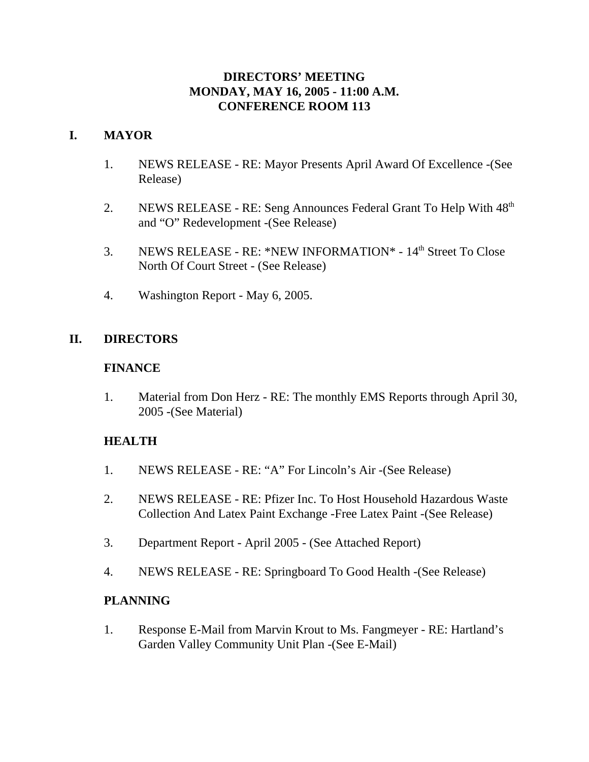## **DIRECTORS' MEETING MONDAY, MAY 16, 2005 - 11:00 A.M. CONFERENCE ROOM 113**

## **I. MAYOR**

- 1. NEWS RELEASE RE: Mayor Presents April Award Of Excellence -(See Release)
- 2. NEWS RELEASE RE: Seng Announces Federal Grant To Help With  $48<sup>th</sup>$ and "O" Redevelopment -(See Release)
- 3. NEWS RELEASE RE: \*NEW INFORMATION\* 14th Street To Close North Of Court Street - (See Release)
- 4. Washington Report May 6, 2005.

# **II. DIRECTORS**

### **FINANCE**

1. Material from Don Herz - RE: The monthly EMS Reports through April 30, 2005 -(See Material)

## **HEALTH**

- 1. NEWS RELEASE RE: "A" For Lincoln's Air -(See Release)
- 2. NEWS RELEASE RE: Pfizer Inc. To Host Household Hazardous Waste Collection And Latex Paint Exchange -Free Latex Paint -(See Release)
- 3. Department Report April 2005 (See Attached Report)
- 4. NEWS RELEASE RE: Springboard To Good Health -(See Release)

## **PLANNING**

1. Response E-Mail from Marvin Krout to Ms. Fangmeyer - RE: Hartland's Garden Valley Community Unit Plan -(See E-Mail)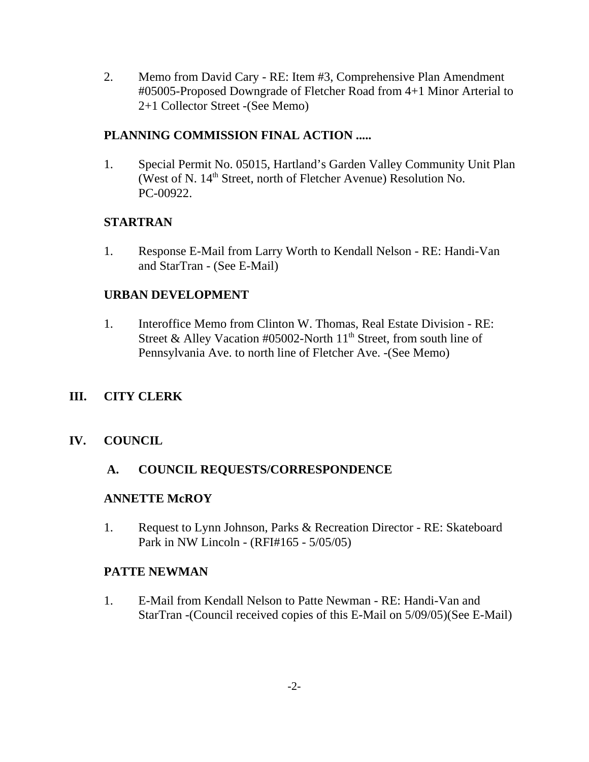2. Memo from David Cary - RE: Item #3, Comprehensive Plan Amendment #05005-Proposed Downgrade of Fletcher Road from 4+1 Minor Arterial to 2+1 Collector Street -(See Memo)

## **PLANNING COMMISSION FINAL ACTION .....**

1. Special Permit No. 05015, Hartland's Garden Valley Community Unit Plan (West of N.  $14<sup>th</sup>$  Street, north of Fletcher Avenue) Resolution No. PC-00922.

# **STARTRAN**

1. Response E-Mail from Larry Worth to Kendall Nelson - RE: Handi-Van and StarTran - (See E-Mail)

## **URBAN DEVELOPMENT**

1. Interoffice Memo from Clinton W. Thomas, Real Estate Division - RE: Street & Alley Vacation #05002-North  $11<sup>th</sup>$  Street, from south line of Pennsylvania Ave. to north line of Fletcher Ave. -(See Memo)

# **III. CITY CLERK**

## **IV. COUNCIL**

## **A. COUNCIL REQUESTS/CORRESPONDENCE**

## **ANNETTE McROY**

1. Request to Lynn Johnson, Parks & Recreation Director - RE: Skateboard Park in NW Lincoln - (RFI#165 - 5/05/05)

## **PATTE NEWMAN**

1. E-Mail from Kendall Nelson to Patte Newman - RE: Handi-Van and StarTran -(Council received copies of this E-Mail on 5/09/05)(See E-Mail)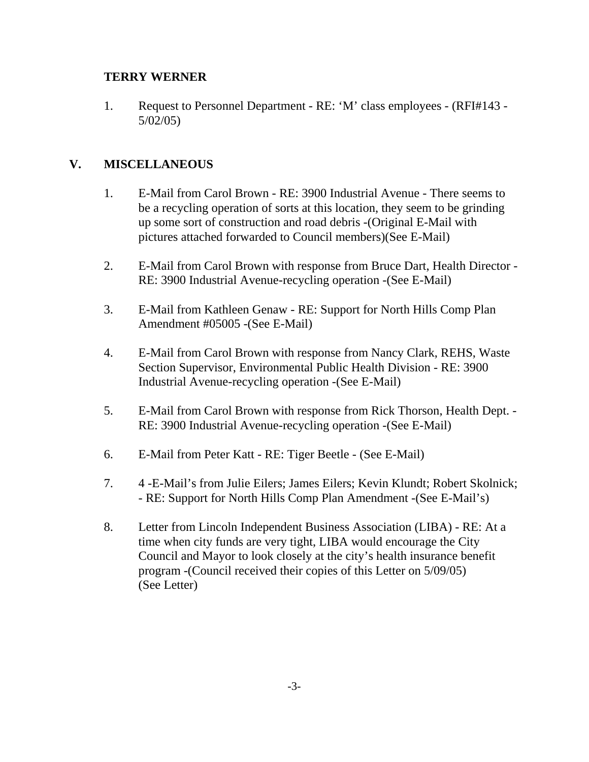## **TERRY WERNER**

1. Request to Personnel Department - RE: 'M' class employees - (RFI#143 - 5/02/05)

## **V. MISCELLANEOUS**

- 1. E-Mail from Carol Brown RE: 3900 Industrial Avenue There seems to be a recycling operation of sorts at this location, they seem to be grinding up some sort of construction and road debris -(Original E-Mail with pictures attached forwarded to Council members)(See E-Mail)
- 2. E-Mail from Carol Brown with response from Bruce Dart, Health Director RE: 3900 Industrial Avenue-recycling operation -(See E-Mail)
- 3. E-Mail from Kathleen Genaw RE: Support for North Hills Comp Plan Amendment #05005 -(See E-Mail)
- 4. E-Mail from Carol Brown with response from Nancy Clark, REHS, Waste Section Supervisor, Environmental Public Health Division - RE: 3900 Industrial Avenue-recycling operation -(See E-Mail)
- 5. E-Mail from Carol Brown with response from Rick Thorson, Health Dept. RE: 3900 Industrial Avenue-recycling operation -(See E-Mail)
- 6. E-Mail from Peter Katt RE: Tiger Beetle (See E-Mail)
- 7. 4 -E-Mail's from Julie Eilers; James Eilers; Kevin Klundt; Robert Skolnick; - RE: Support for North Hills Comp Plan Amendment -(See E-Mail's)
- 8. Letter from Lincoln Independent Business Association (LIBA) RE: At a time when city funds are very tight, LIBA would encourage the City Council and Mayor to look closely at the city's health insurance benefit program -(Council received their copies of this Letter on 5/09/05) (See Letter)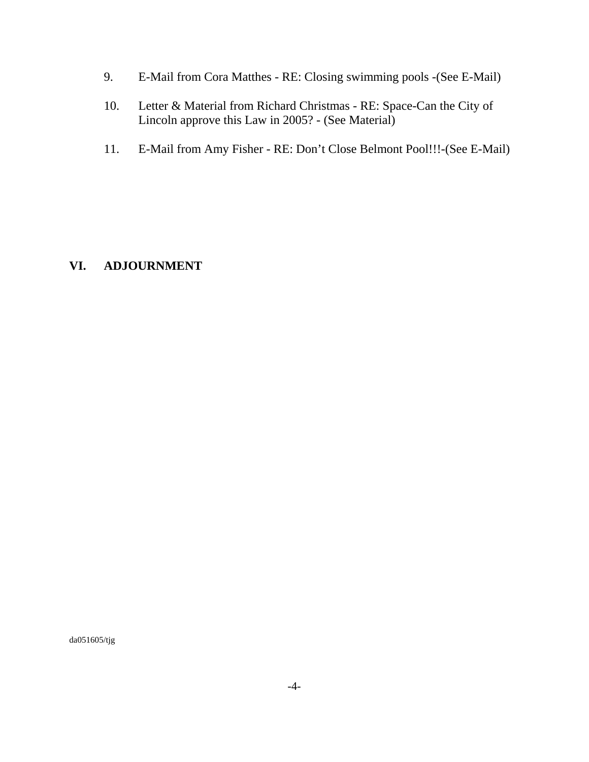- 9. E-Mail from Cora Matthes RE: Closing swimming pools -(See E-Mail)
- 10. Letter & Material from Richard Christmas RE: Space-Can the City of Lincoln approve this Law in 2005? - (See Material)
- 11. E-Mail from Amy Fisher RE: Don't Close Belmont Pool!!!-(See E-Mail)

## **VI. ADJOURNMENT**

da051605/tjg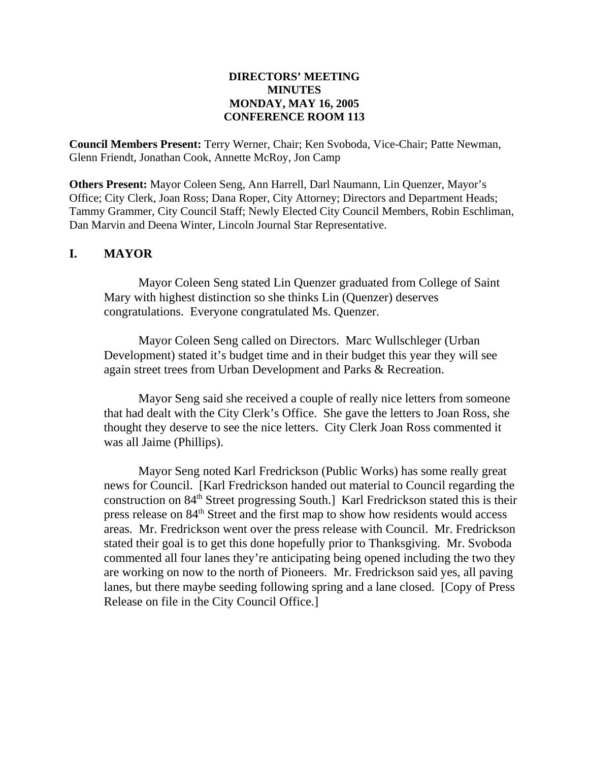### **DIRECTORS' MEETING MINUTES MONDAY, MAY 16, 2005 CONFERENCE ROOM 113**

**Council Members Present:** Terry Werner, Chair; Ken Svoboda, Vice-Chair; Patte Newman, Glenn Friendt, Jonathan Cook, Annette McRoy, Jon Camp

**Others Present:** Mayor Coleen Seng, Ann Harrell, Darl Naumann, Lin Quenzer, Mayor's Office; City Clerk, Joan Ross; Dana Roper, City Attorney; Directors and Department Heads; Tammy Grammer, City Council Staff; Newly Elected City Council Members, Robin Eschliman, Dan Marvin and Deena Winter, Lincoln Journal Star Representative.

## **I. MAYOR**

Mayor Coleen Seng stated Lin Quenzer graduated from College of Saint Mary with highest distinction so she thinks Lin (Quenzer) deserves congratulations. Everyone congratulated Ms. Quenzer.

Mayor Coleen Seng called on Directors. Marc Wullschleger (Urban Development) stated it's budget time and in their budget this year they will see again street trees from Urban Development and Parks & Recreation.

Mayor Seng said she received a couple of really nice letters from someone that had dealt with the City Clerk's Office. She gave the letters to Joan Ross, she thought they deserve to see the nice letters. City Clerk Joan Ross commented it was all Jaime (Phillips).

Mayor Seng noted Karl Fredrickson (Public Works) has some really great news for Council. [Karl Fredrickson handed out material to Council regarding the construction on 84<sup>th</sup> Street progressing South.] Karl Fredrickson stated this is their press release on 84th Street and the first map to show how residents would access areas. Mr. Fredrickson went over the press release with Council. Mr. Fredrickson stated their goal is to get this done hopefully prior to Thanksgiving. Mr. Svoboda commented all four lanes they're anticipating being opened including the two they are working on now to the north of Pioneers. Mr. Fredrickson said yes, all paving lanes, but there maybe seeding following spring and a lane closed. [Copy of Press Release on file in the City Council Office.]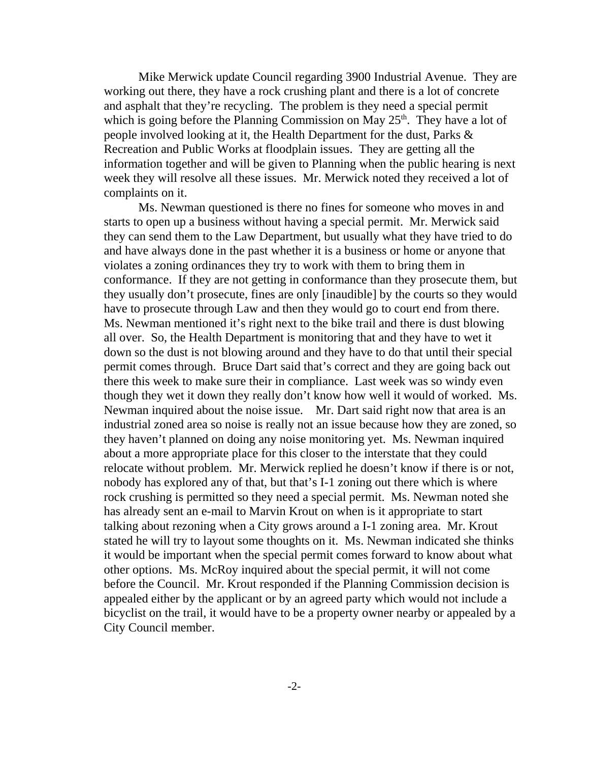Mike Merwick update Council regarding 3900 Industrial Avenue. They are working out there, they have a rock crushing plant and there is a lot of concrete and asphalt that they're recycling. The problem is they need a special permit which is going before the Planning Commission on May  $25<sup>th</sup>$ . They have a lot of people involved looking at it, the Health Department for the dust, Parks & Recreation and Public Works at floodplain issues. They are getting all the information together and will be given to Planning when the public hearing is next week they will resolve all these issues. Mr. Merwick noted they received a lot of complaints on it.

Ms. Newman questioned is there no fines for someone who moves in and starts to open up a business without having a special permit. Mr. Merwick said they can send them to the Law Department, but usually what they have tried to do and have always done in the past whether it is a business or home or anyone that violates a zoning ordinances they try to work with them to bring them in conformance. If they are not getting in conformance than they prosecute them, but they usually don't prosecute, fines are only [inaudible] by the courts so they would have to prosecute through Law and then they would go to court end from there. Ms. Newman mentioned it's right next to the bike trail and there is dust blowing all over. So, the Health Department is monitoring that and they have to wet it down so the dust is not blowing around and they have to do that until their special permit comes through. Bruce Dart said that's correct and they are going back out there this week to make sure their in compliance. Last week was so windy even though they wet it down they really don't know how well it would of worked. Ms. Newman inquired about the noise issue. Mr. Dart said right now that area is an industrial zoned area so noise is really not an issue because how they are zoned, so they haven't planned on doing any noise monitoring yet. Ms. Newman inquired about a more appropriate place for this closer to the interstate that they could relocate without problem. Mr. Merwick replied he doesn't know if there is or not, nobody has explored any of that, but that's I-1 zoning out there which is where rock crushing is permitted so they need a special permit. Ms. Newman noted she has already sent an e-mail to Marvin Krout on when is it appropriate to start talking about rezoning when a City grows around a I-1 zoning area. Mr. Krout stated he will try to layout some thoughts on it. Ms. Newman indicated she thinks it would be important when the special permit comes forward to know about what other options. Ms. McRoy inquired about the special permit, it will not come before the Council. Mr. Krout responded if the Planning Commission decision is appealed either by the applicant or by an agreed party which would not include a bicyclist on the trail, it would have to be a property owner nearby or appealed by a City Council member.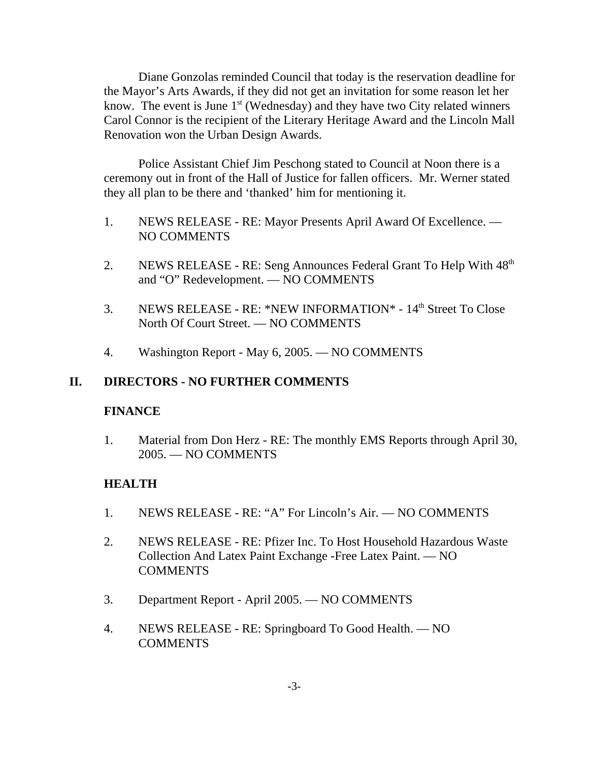Diane Gonzolas reminded Council that today is the reservation deadline for the Mayor's Arts Awards, if they did not get an invitation for some reason let her know. The event is June  $1<sup>st</sup>$  (Wednesday) and they have two City related winners Carol Connor is the recipient of the Literary Heritage Award and the Lincoln Mall Renovation won the Urban Design Awards.

Police Assistant Chief Jim Peschong stated to Council at Noon there is a ceremony out in front of the Hall of Justice for fallen officers. Mr. Werner stated they all plan to be there and 'thanked' him for mentioning it.

- 1. NEWS RELEASE RE: Mayor Presents April Award Of Excellence. NO COMMENTS
- 2. NEWS RELEASE RE: Seng Announces Federal Grant To Help With  $48<sup>th</sup>$ and "O" Redevelopment. — NO COMMENTS
- 3. NEWS RELEASE RE: \*NEW INFORMATION\* 14th Street To Close North Of Court Street. — NO COMMENTS
- 4. Washington Report May 6, 2005. NO COMMENTS

### **II. DIRECTORS - NO FURTHER COMMENTS**

### **FINANCE**

1. Material from Don Herz - RE: The monthly EMS Reports through April 30, 2005. — NO COMMENTS

## **HEALTH**

- 1. NEWS RELEASE RE: "A" For Lincoln's Air. NO COMMENTS
- 2. NEWS RELEASE RE: Pfizer Inc. To Host Household Hazardous Waste Collection And Latex Paint Exchange -Free Latex Paint. — NO **COMMENTS**
- 3. Department Report April 2005. NO COMMENTS
- 4. NEWS RELEASE RE: Springboard To Good Health. NO COMMENTS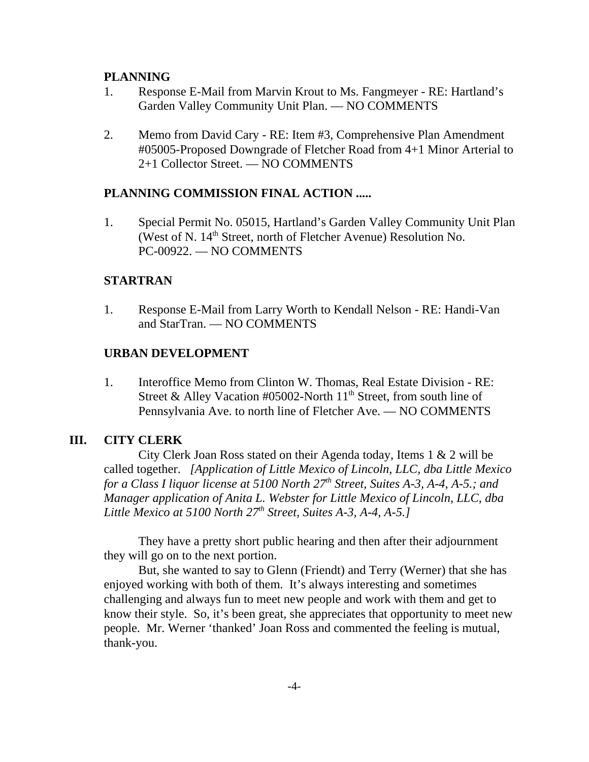### **PLANNING**

- 1. Response E-Mail from Marvin Krout to Ms. Fangmeyer RE: Hartland's Garden Valley Community Unit Plan. — NO COMMENTS
- 2. Memo from David Cary RE: Item #3, Comprehensive Plan Amendment #05005-Proposed Downgrade of Fletcher Road from 4+1 Minor Arterial to 2+1 Collector Street. — NO COMMENTS

#### **PLANNING COMMISSION FINAL ACTION .....**

1. Special Permit No. 05015, Hartland's Garden Valley Community Unit Plan (West of N.  $14<sup>th</sup>$  Street, north of Fletcher Avenue) Resolution No. PC-00922. — NO COMMENTS

#### **STARTRAN**

1. Response E-Mail from Larry Worth to Kendall Nelson - RE: Handi-Van and StarTran. — NO COMMENTS

#### **URBAN DEVELOPMENT**

1. Interoffice Memo from Clinton W. Thomas, Real Estate Division - RE: Street & Alley Vacation #05002-North  $11<sup>th</sup>$  Street, from south line of Pennsylvania Ave. to north line of Fletcher Ave. — NO COMMENTS

### **III. CITY CLERK**

City Clerk Joan Ross stated on their Agenda today, Items 1 & 2 will be called together. *[Application of Little Mexico of Lincoln, LLC, dba Little Mexico for a Class I liquor license at 5100 North 27<sup>th</sup> Street, Suites A-3, A-4, A-5.; and Manager application of Anita L. Webster for Little Mexico of Lincoln, LLC, dba Little Mexico at 5100 North 27th Street, Suites A-3, A-4, A-5.]* 

They have a pretty short public hearing and then after their adjournment they will go on to the next portion.

But, she wanted to say to Glenn (Friendt) and Terry (Werner) that she has enjoyed working with both of them. It's always interesting and sometimes challenging and always fun to meet new people and work with them and get to know their style. So, it's been great, she appreciates that opportunity to meet new people. Mr. Werner 'thanked' Joan Ross and commented the feeling is mutual, thank-you.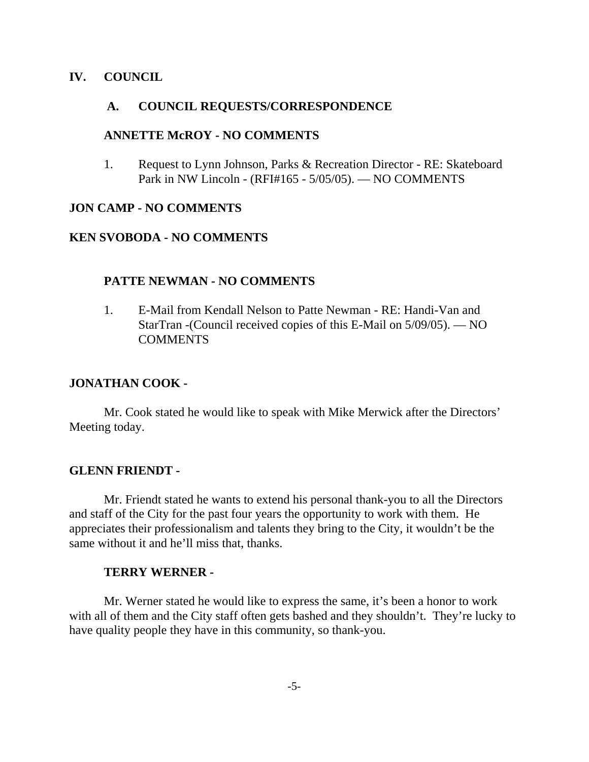### **IV. COUNCIL**

#### **A. COUNCIL REQUESTS/CORRESPONDENCE**

#### **ANNETTE McROY - NO COMMENTS**

1. Request to Lynn Johnson, Parks & Recreation Director - RE: Skateboard Park in NW Lincoln - (RFI#165 - 5/05/05). — NO COMMENTS

### **JON CAMP - NO COMMENTS**

#### **KEN SVOBODA - NO COMMENTS**

#### **PATTE NEWMAN - NO COMMENTS**

1. E-Mail from Kendall Nelson to Patte Newman - RE: Handi-Van and StarTran -(Council received copies of this E-Mail on 5/09/05). — NO **COMMENTS** 

#### **JONATHAN COOK -**

Mr. Cook stated he would like to speak with Mike Merwick after the Directors' Meeting today.

#### **GLENN FRIENDT -**

Mr. Friendt stated he wants to extend his personal thank-you to all the Directors and staff of the City for the past four years the opportunity to work with them. He appreciates their professionalism and talents they bring to the City, it wouldn't be the same without it and he'll miss that, thanks.

#### **TERRY WERNER -**

Mr. Werner stated he would like to express the same, it's been a honor to work with all of them and the City staff often gets bashed and they shouldn't. They're lucky to have quality people they have in this community, so thank-you.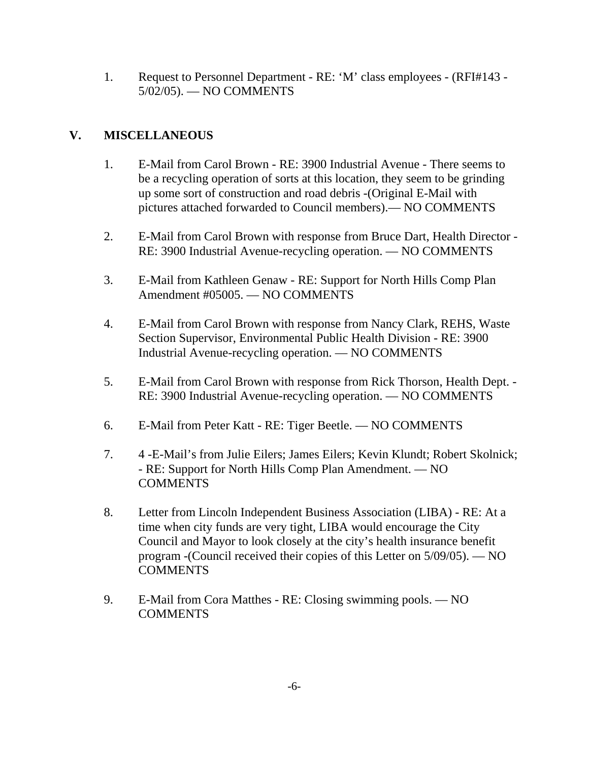1. Request to Personnel Department - RE: 'M' class employees - (RFI#143 - 5/02/05). — NO COMMENTS

# **V. MISCELLANEOUS**

- 1. E-Mail from Carol Brown RE: 3900 Industrial Avenue There seems to be a recycling operation of sorts at this location, they seem to be grinding up some sort of construction and road debris -(Original E-Mail with pictures attached forwarded to Council members).— NO COMMENTS
- 2. E-Mail from Carol Brown with response from Bruce Dart, Health Director RE: 3900 Industrial Avenue-recycling operation. — NO COMMENTS
- 3. E-Mail from Kathleen Genaw RE: Support for North Hills Comp Plan Amendment #05005. — NO COMMENTS
- 4. E-Mail from Carol Brown with response from Nancy Clark, REHS, Waste Section Supervisor, Environmental Public Health Division - RE: 3900 Industrial Avenue-recycling operation. — NO COMMENTS
- 5. E-Mail from Carol Brown with response from Rick Thorson, Health Dept. RE: 3900 Industrial Avenue-recycling operation. — NO COMMENTS
- 6. E-Mail from Peter Katt RE: Tiger Beetle. NO COMMENTS
- 7. 4 -E-Mail's from Julie Eilers; James Eilers; Kevin Klundt; Robert Skolnick; - RE: Support for North Hills Comp Plan Amendment. — NO **COMMENTS**
- 8. Letter from Lincoln Independent Business Association (LIBA) RE: At a time when city funds are very tight, LIBA would encourage the City Council and Mayor to look closely at the city's health insurance benefit program -(Council received their copies of this Letter on 5/09/05). — NO **COMMENTS**
- 9. E-Mail from Cora Matthes RE: Closing swimming pools. NO **COMMENTS**